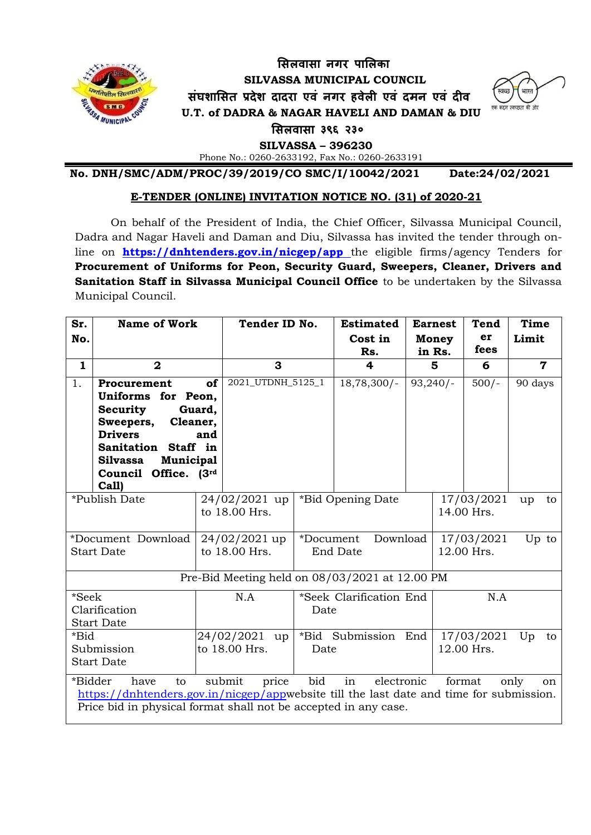

# **सिलवािा नगर पासलका SILVASSA MUNICIPAL COUNCIL िंघशासित प्रदेश दादरा एवं नगर हवेली एवं दमन एवं दीव U.T. of DADRA & NAGAR HAVELI AND DAMAN & DIU**



 **सिलवािा ३९६ २३०**

 **SILVASSA – 396230**

Phone No.: 0260-2633192, Fax No.: 0260-2633191

**No. DNH/SMC/ADM/PROC/39/2019/CO SMC/I/10042/2021 Date:24/02/2021**

## **E-TENDER (ONLINE) INVITATION NOTICE NO. (31) of 2020-21**

On behalf of the President of India, the Chief Officer, Silvassa Municipal Council, Dadra and Nagar Haveli and Daman and Diu, Silvassa has invited the tender through online on **<https://dnhtenders.gov.in/nicgep/app>** the eligible firms/agency Tenders for **Procurement of Uniforms for Peon, Security Guard, Sweepers, Cleaner, Drivers and Sanitation Staff in Silvassa Municipal Council Office** to be undertaken by the Silvassa Municipal Council.

| Sr.                                                                                                                                                                                                                                                       | <b>Name of Work</b>                                                                                                                                                                     |                                | Tender ID No.                  |                                   | <b>Estimated</b>  |                          | <b>Earnest</b><br><b>Tend</b> |         | Time        |    |
|-----------------------------------------------------------------------------------------------------------------------------------------------------------------------------------------------------------------------------------------------------------|-----------------------------------------------------------------------------------------------------------------------------------------------------------------------------------------|--------------------------------|--------------------------------|-----------------------------------|-------------------|--------------------------|-------------------------------|---------|-------------|----|
| No.                                                                                                                                                                                                                                                       |                                                                                                                                                                                         |                                |                                |                                   | Cost in           |                          | <b>Money</b>                  | er      | Limit       |    |
|                                                                                                                                                                                                                                                           |                                                                                                                                                                                         |                                |                                |                                   | Rs.               |                          | in Rs.                        | fees    |             |    |
| $\mathbf{1}$                                                                                                                                                                                                                                              | $\mathbf{2}$                                                                                                                                                                            |                                | 3                              |                                   | 4                 | 5                        |                               | 6       | $\mathbf 7$ |    |
| 1.                                                                                                                                                                                                                                                        | Procurement<br>Uniforms for Peon,<br><b>Security</b><br>Sweepers,<br>Cleaner,<br><b>Drivers</b><br>Sanitation Staff in<br>Municipal<br><b>Silvassa</b><br>Council Office. (3rd<br>Call) | of<br>Guard,<br>and            | 2021_UTDNH_5125_1              |                                   | $18,78,300/-$     |                          | $93,240/-$                    | $500/-$ | 90 days     |    |
| *Publish Date                                                                                                                                                                                                                                             |                                                                                                                                                                                         |                                | 24/02/2021 up<br>to 18.00 Hrs. |                                   | *Bid Opening Date |                          | 17/03/2021<br>14.00 Hrs.      |         | up          | to |
| *Document Download<br><b>Start Date</b>                                                                                                                                                                                                                   |                                                                                                                                                                                         | 24/02/2021 up<br>to 18.00 Hrs. |                                | Download<br>*Document<br>End Date |                   | 17/03/2021<br>12.00 Hrs. |                               | Up to   |             |    |
| Pre-Bid Meeting held on 08/03/2021 at 12.00 PM                                                                                                                                                                                                            |                                                                                                                                                                                         |                                |                                |                                   |                   |                          |                               |         |             |    |
| *Seek<br>Clarification<br><b>Start Date</b>                                                                                                                                                                                                               |                                                                                                                                                                                         | N.A                            |                                | *Seek Clarification End<br>Date   |                   |                          | N.A                           |         |             |    |
| *Bid<br>Submission<br><b>Start Date</b>                                                                                                                                                                                                                   |                                                                                                                                                                                         | 24/02/2021 up<br>to 18.00 Hrs. |                                | *Bid Submission End<br>Date       |                   |                          | 17/03/2021<br>12.00 Hrs.      |         | Up          | to |
| in<br>bid<br>*Bidder<br>submit<br>price<br>have<br>electronic<br>format<br>only<br>to<br>on<br>https://dnhtenders.gov.in/nicgep/appwebsite till the last date and time for submission.<br>Price bid in physical format shall not be accepted in any case. |                                                                                                                                                                                         |                                |                                |                                   |                   |                          |                               |         |             |    |